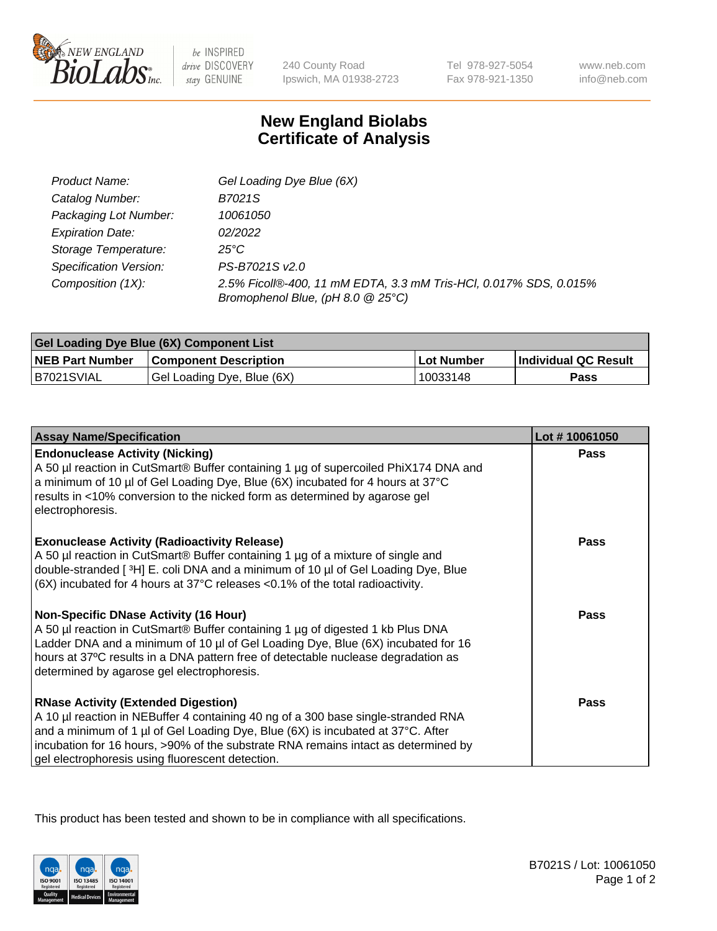

 $be$  INSPIRED drive DISCOVERY stay GENUINE

240 County Road Ipswich, MA 01938-2723 Tel 978-927-5054 Fax 978-921-1350 www.neb.com info@neb.com

## **New England Biolabs Certificate of Analysis**

| Product Name:           | Gel Loading Dye Blue (6X)                                                                              |
|-------------------------|--------------------------------------------------------------------------------------------------------|
| Catalog Number:         | B7021S                                                                                                 |
| Packaging Lot Number:   | 10061050                                                                                               |
| <b>Expiration Date:</b> | 02/2022                                                                                                |
| Storage Temperature:    | 25°C                                                                                                   |
| Specification Version:  | PS-B7021S v2.0                                                                                         |
| Composition (1X):       | 2.5% Ficoll®-400, 11 mM EDTA, 3.3 mM Tris-HCl, 0.017% SDS, 0.015%<br>Bromophenol Blue, (pH 8.0 @ 25°C) |

| Gel Loading Dye Blue (6X) Component List |                              |            |                      |  |
|------------------------------------------|------------------------------|------------|----------------------|--|
| <b>NEB Part Number</b>                   | <b>Component Description</b> | Lot Number | Individual QC Result |  |
| B7021SVIAL                               | Gel Loading Dye, Blue (6X)   | 10033148   | Pass                 |  |

| <b>Assay Name/Specification</b>                                                                                                                                                                                                                                                                                                                              | Lot #10061050 |
|--------------------------------------------------------------------------------------------------------------------------------------------------------------------------------------------------------------------------------------------------------------------------------------------------------------------------------------------------------------|---------------|
| <b>Endonuclease Activity (Nicking)</b><br>A 50 µl reaction in CutSmart® Buffer containing 1 µg of supercoiled PhiX174 DNA and<br>a minimum of 10 µl of Gel Loading Dye, Blue (6X) incubated for 4 hours at 37°C<br>results in <10% conversion to the nicked form as determined by agarose gel<br>electrophoresis.                                            | <b>Pass</b>   |
| <b>Exonuclease Activity (Radioactivity Release)</b><br>A 50 µl reaction in CutSmart® Buffer containing 1 µg of a mixture of single and<br>double-stranded [3H] E. coli DNA and a minimum of 10 µl of Gel Loading Dye, Blue<br>$(6X)$ incubated for 4 hours at 37 $^{\circ}$ C releases <0.1% of the total radioactivity.                                     | <b>Pass</b>   |
| <b>Non-Specific DNase Activity (16 Hour)</b><br>A 50 µl reaction in CutSmart® Buffer containing 1 µg of digested 1 kb Plus DNA<br>Ladder DNA and a minimum of 10 µl of Gel Loading Dye, Blue (6X) incubated for 16<br>hours at 37°C results in a DNA pattern free of detectable nuclease degradation as<br>determined by agarose gel electrophoresis.        | <b>Pass</b>   |
| <b>RNase Activity (Extended Digestion)</b><br>A 10 µl reaction in NEBuffer 4 containing 40 ng of a 300 base single-stranded RNA<br>and a minimum of 1 µl of Gel Loading Dye, Blue (6X) is incubated at 37°C. After<br>incubation for 16 hours, >90% of the substrate RNA remains intact as determined by<br>gel electrophoresis using fluorescent detection. | <b>Pass</b>   |

This product has been tested and shown to be in compliance with all specifications.